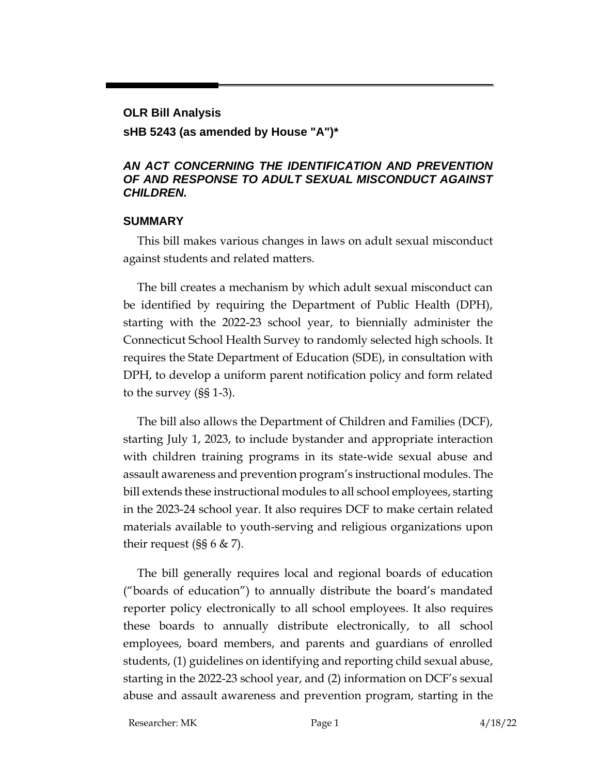#### **OLR Bill Analysis**

#### **sHB 5243 (as amended by House "A")\***

#### *AN ACT CONCERNING THE IDENTIFICATION AND PREVENTION OF AND RESPONSE TO ADULT SEXUAL MISCONDUCT AGAINST CHILDREN.*

#### **SUMMARY**

This bill makes various changes in laws on adult sexual misconduct against students and related matters.

The bill creates a mechanism by which adult sexual misconduct can be identified by requiring the Department of Public Health (DPH), starting with the 2022-23 school year, to biennially administer the Connecticut School Health Survey to randomly selected high schools. It requires the State Department of Education (SDE), in consultation with DPH, to develop a uniform parent notification policy and form related to the survey (§§ 1-3).

The bill also allows the Department of Children and Families (DCF), starting July 1, 2023, to include bystander and appropriate interaction with children training programs in its state-wide sexual abuse and assault awareness and prevention program's instructional modules. The bill extends these instructional modules to all school employees, starting in the 2023-24 school year. It also requires DCF to make certain related materials available to youth-serving and religious organizations upon their request  $(SS 6 \& Z)$ .

The bill generally requires local and regional boards of education ("boards of education") to annually distribute the board's mandated reporter policy electronically to all school employees. It also requires these boards to annually distribute electronically, to all school employees, board members, and parents and guardians of enrolled students, (1) guidelines on identifying and reporting child sexual abuse, starting in the 2022-23 school year, and (2) information on DCF's sexual abuse and assault awareness and prevention program, starting in the

Researcher: MK Page 1 4/18/22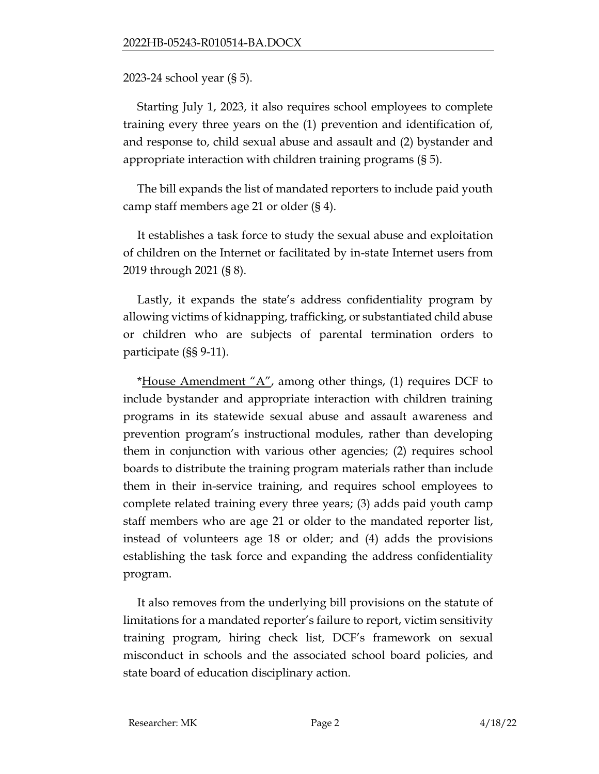2023-24 school year (§ 5).

Starting July 1, 2023, it also requires school employees to complete training every three years on the (1) prevention and identification of, and response to, child sexual abuse and assault and (2) bystander and appropriate interaction with children training programs (§ 5).

The bill expands the list of mandated reporters to include paid youth camp staff members age 21 or older (§ 4).

It establishes a task force to study the sexual abuse and exploitation of children on the Internet or facilitated by in-state Internet users from 2019 through 2021 (§ 8).

Lastly, it expands the state's address confidentiality program by allowing victims of kidnapping, trafficking, or substantiated child abuse or children who are subjects of parental termination orders to participate (§§ 9-11).

\*House Amendment  $A''$ , among other things, (1) requires DCF to include bystander and appropriate interaction with children training programs in its statewide sexual abuse and assault awareness and prevention program's instructional modules, rather than developing them in conjunction with various other agencies; (2) requires school boards to distribute the training program materials rather than include them in their in-service training, and requires school employees to complete related training every three years; (3) adds paid youth camp staff members who are age 21 or older to the mandated reporter list, instead of volunteers age 18 or older; and (4) adds the provisions establishing the task force and expanding the address confidentiality program.

It also removes from the underlying bill provisions on the statute of limitations for a mandated reporter's failure to report, victim sensitivity training program, hiring check list, DCF's framework on sexual misconduct in schools and the associated school board policies, and state board of education disciplinary action.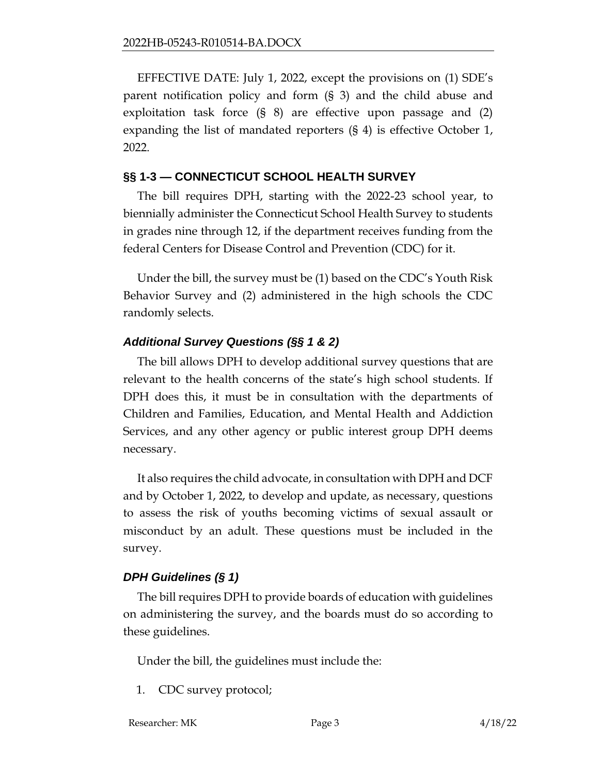EFFECTIVE DATE: July 1, 2022, except the provisions on (1) SDE's parent notification policy and form (§ 3) and the child abuse and exploitation task force (§ 8) are effective upon passage and (2) expanding the list of mandated reporters (§ 4) is effective October 1, 2022.

#### **§§ 1-3 — CONNECTICUT SCHOOL HEALTH SURVEY**

The bill requires DPH, starting with the 2022-23 school year, to biennially administer the Connecticut School Health Survey to students in grades nine through 12, if the department receives funding from the federal Centers for Disease Control and Prevention (CDC) for it.

Under the bill, the survey must be (1) based on the CDC's Youth Risk Behavior Survey and (2) administered in the high schools the CDC randomly selects.

## *Additional Survey Questions (§§ 1 & 2)*

The bill allows DPH to develop additional survey questions that are relevant to the health concerns of the state's high school students. If DPH does this, it must be in consultation with the departments of Children and Families, Education, and Mental Health and Addiction Services, and any other agency or public interest group DPH deems necessary.

It also requires the child advocate, in consultation with DPH and DCF and by October 1, 2022, to develop and update, as necessary, questions to assess the risk of youths becoming victims of sexual assault or misconduct by an adult. These questions must be included in the survey.

## *DPH Guidelines (§ 1)*

The bill requires DPH to provide boards of education with guidelines on administering the survey, and the boards must do so according to these guidelines.

Under the bill, the guidelines must include the:

- 1. CDC survey protocol;
- Researcher: MK Page 3 4/18/22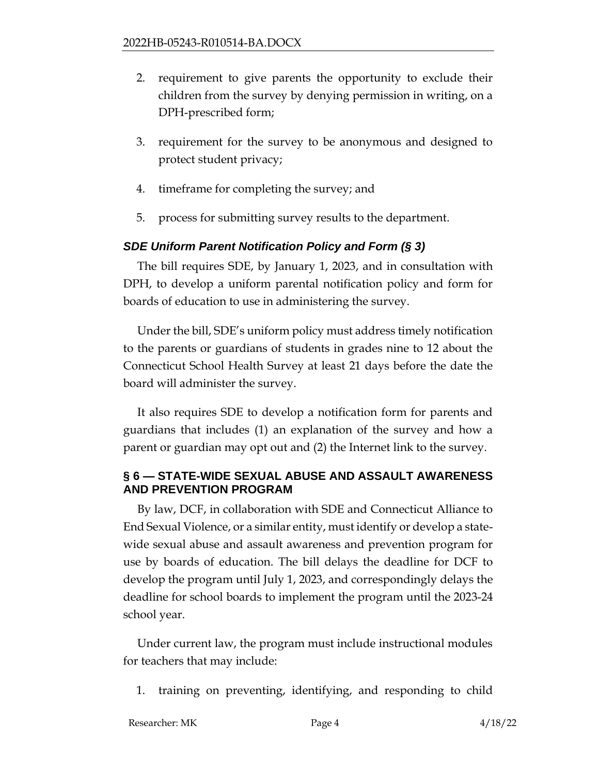- 2. requirement to give parents the opportunity to exclude their children from the survey by denying permission in writing, on a DPH-prescribed form;
- 3. requirement for the survey to be anonymous and designed to protect student privacy;
- 4. timeframe for completing the survey; and
- 5. process for submitting survey results to the department.

#### *SDE Uniform Parent Notification Policy and Form (§ 3)*

The bill requires SDE, by January 1, 2023, and in consultation with DPH, to develop a uniform parental notification policy and form for boards of education to use in administering the survey.

Under the bill, SDE's uniform policy must address timely notification to the parents or guardians of students in grades nine to 12 about the Connecticut School Health Survey at least 21 days before the date the board will administer the survey.

It also requires SDE to develop a notification form for parents and guardians that includes (1) an explanation of the survey and how a parent or guardian may opt out and (2) the Internet link to the survey.

## **§ 6 — STATE-WIDE SEXUAL ABUSE AND ASSAULT AWARENESS AND PREVENTION PROGRAM**

By law, DCF, in collaboration with SDE and Connecticut Alliance to End Sexual Violence, or a similar entity, must identify or develop a statewide sexual abuse and assault awareness and prevention program for use by boards of education. The bill delays the deadline for DCF to develop the program until July 1, 2023, and correspondingly delays the deadline for school boards to implement the program until the 2023-24 school year.

Under current law, the program must include instructional modules for teachers that may include:

1. training on preventing, identifying, and responding to child

Researcher: MK Page 4 4/18/22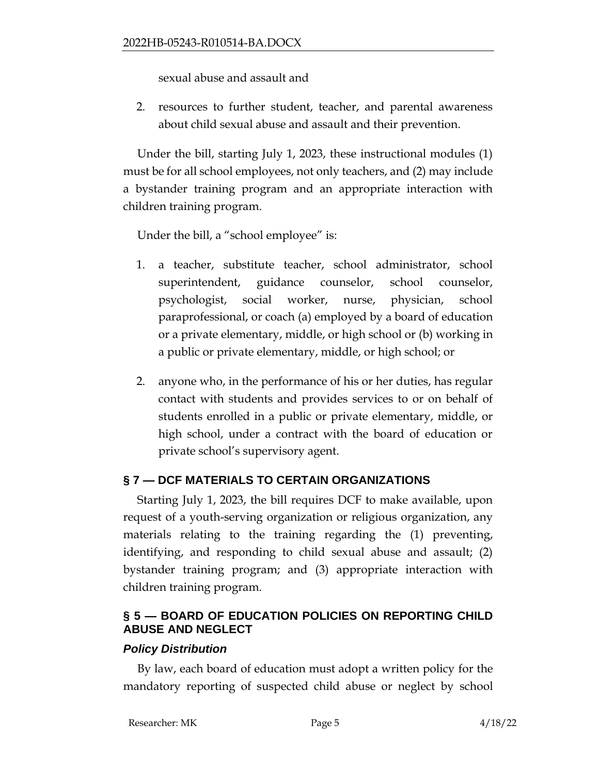sexual abuse and assault and

2. resources to further student, teacher, and parental awareness about child sexual abuse and assault and their prevention.

Under the bill, starting July 1, 2023, these instructional modules (1) must be for all school employees, not only teachers, and (2) may include a bystander training program and an appropriate interaction with children training program.

Under the bill, a "school employee" is:

- 1. a teacher, substitute teacher, school administrator, school superintendent, guidance counselor, school counselor, psychologist, social worker, nurse, physician, school paraprofessional, or coach (a) employed by a board of education or a private elementary, middle, or high school or (b) working in a public or private elementary, middle, or high school; or
- 2. anyone who, in the performance of his or her duties, has regular contact with students and provides services to or on behalf of students enrolled in a public or private elementary, middle, or high school, under a contract with the board of education or private school's supervisory agent.

# **§ 7 — DCF MATERIALS TO CERTAIN ORGANIZATIONS**

Starting July 1, 2023, the bill requires DCF to make available, upon request of a youth-serving organization or religious organization, any materials relating to the training regarding the (1) preventing, identifying, and responding to child sexual abuse and assault; (2) bystander training program; and (3) appropriate interaction with children training program.

# **§ 5 — BOARD OF EDUCATION POLICIES ON REPORTING CHILD ABUSE AND NEGLECT**

## *Policy Distribution*

By law, each board of education must adopt a written policy for the mandatory reporting of suspected child abuse or neglect by school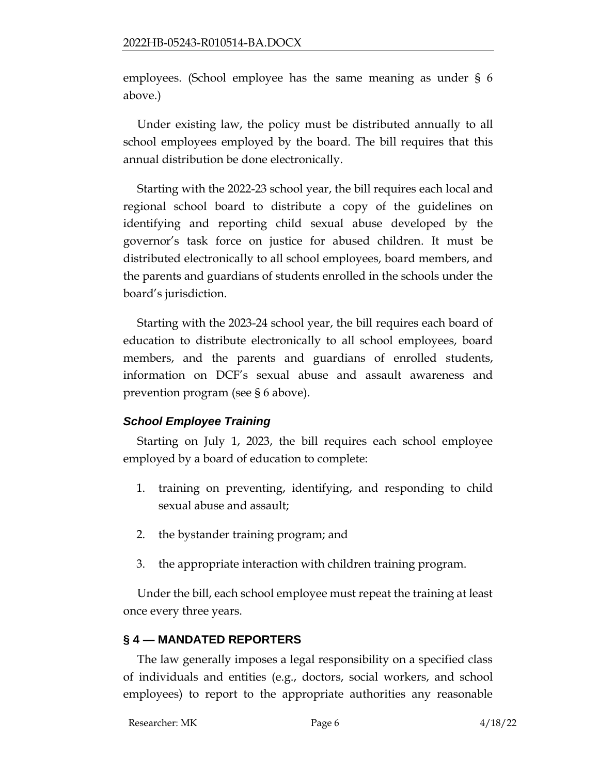employees. (School employee has the same meaning as under § 6 above.)

Under existing law, the policy must be distributed annually to all school employees employed by the board. The bill requires that this annual distribution be done electronically.

Starting with the 2022-23 school year, the bill requires each local and regional school board to distribute a copy of the guidelines on identifying and reporting child sexual abuse developed by the governor's task force on justice for abused children. It must be distributed electronically to all school employees, board members, and the parents and guardians of students enrolled in the schools under the board's jurisdiction.

Starting with the 2023-24 school year, the bill requires each board of education to distribute electronically to all school employees, board members, and the parents and guardians of enrolled students, information on DCF's sexual abuse and assault awareness and prevention program (see § 6 above).

## *School Employee Training*

Starting on July 1, 2023, the bill requires each school employee employed by a board of education to complete:

- 1. training on preventing, identifying, and responding to child sexual abuse and assault;
- 2. the bystander training program; and
- 3. the appropriate interaction with children training program.

Under the bill, each school employee must repeat the training at least once every three years.

# **§ 4 — MANDATED REPORTERS**

The law generally imposes a legal responsibility on a specified class of individuals and entities (e.g., doctors, social workers, and school employees) to report to the appropriate authorities any reasonable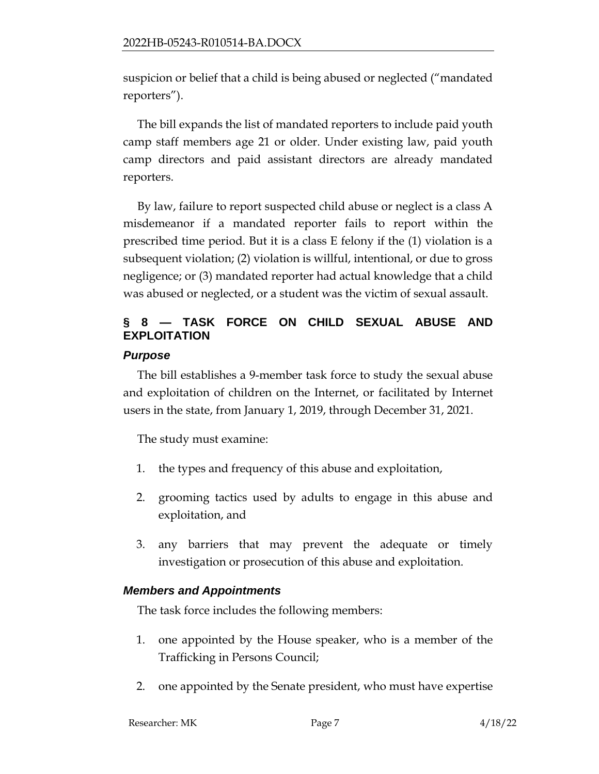suspicion or belief that a child is being abused or neglected ("mandated reporters").

The bill expands the list of mandated reporters to include paid youth camp staff members age 21 or older. Under existing law, paid youth camp directors and paid assistant directors are already mandated reporters.

By law, failure to report suspected child abuse or neglect is a class A misdemeanor if a mandated reporter fails to report within the prescribed time period. But it is a class E felony if the (1) violation is a subsequent violation; (2) violation is willful, intentional, or due to gross negligence; or (3) mandated reporter had actual knowledge that a child was abused or neglected, or a student was the victim of sexual assault.

# **§ 8 — TASK FORCE ON CHILD SEXUAL ABUSE AND EXPLOITATION**

# *Purpose*

The bill establishes a 9-member task force to study the sexual abuse and exploitation of children on the Internet, or facilitated by Internet users in the state, from January 1, 2019, through December 31, 2021.

The study must examine:

- 1. the types and frequency of this abuse and exploitation,
- 2. grooming tactics used by adults to engage in this abuse and exploitation, and
- 3. any barriers that may prevent the adequate or timely investigation or prosecution of this abuse and exploitation.

# *Members and Appointments*

The task force includes the following members:

- 1. one appointed by the House speaker, who is a member of the Trafficking in Persons Council;
- 2. one appointed by the Senate president, who must have expertise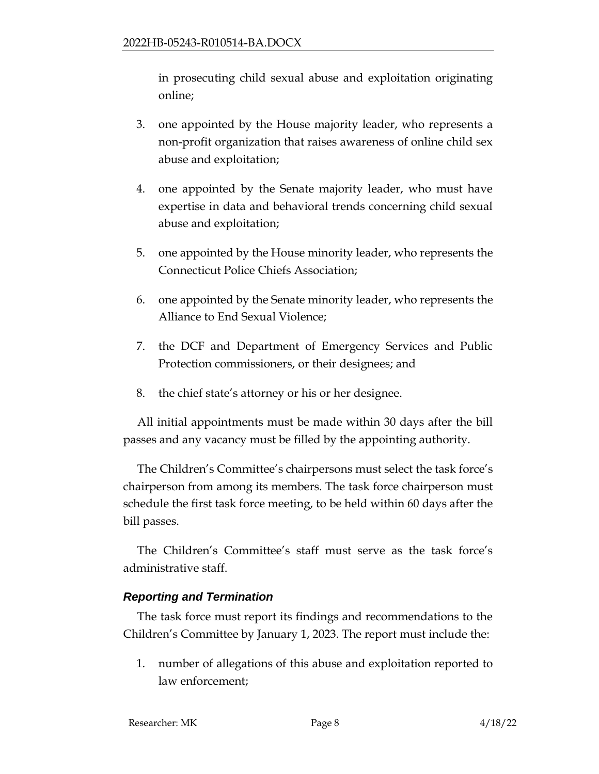in prosecuting child sexual abuse and exploitation originating online;

- 3. one appointed by the House majority leader, who represents a non-profit organization that raises awareness of online child sex abuse and exploitation;
- 4. one appointed by the Senate majority leader, who must have expertise in data and behavioral trends concerning child sexual abuse and exploitation;
- 5. one appointed by the House minority leader, who represents the Connecticut Police Chiefs Association;
- 6. one appointed by the Senate minority leader, who represents the Alliance to End Sexual Violence;
- 7. the DCF and Department of Emergency Services and Public Protection commissioners, or their designees; and
- 8. the chief state's attorney or his or her designee.

All initial appointments must be made within 30 days after the bill passes and any vacancy must be filled by the appointing authority.

The Children's Committee's chairpersons must select the task force's chairperson from among its members. The task force chairperson must schedule the first task force meeting, to be held within 60 days after the bill passes.

The Children's Committee's staff must serve as the task force's administrative staff.

# *Reporting and Termination*

The task force must report its findings and recommendations to the Children's Committee by January 1, 2023. The report must include the:

1. number of allegations of this abuse and exploitation reported to law enforcement;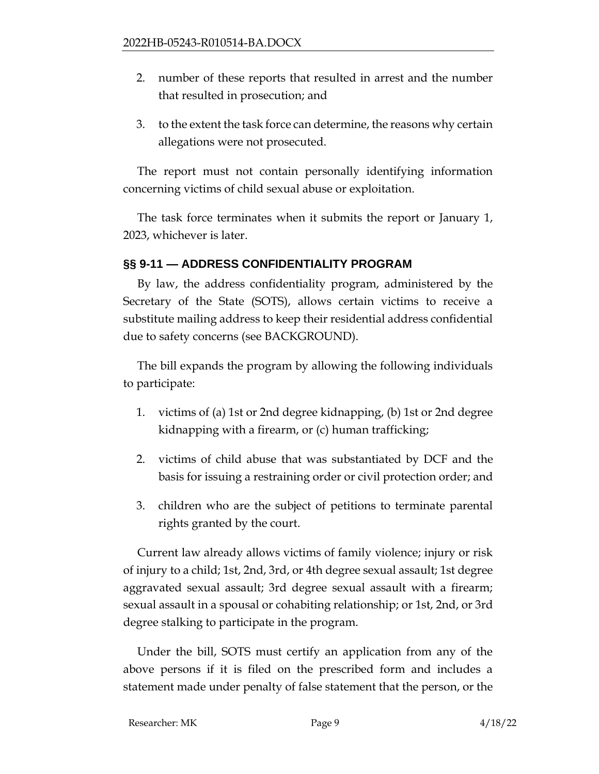- 2. number of these reports that resulted in arrest and the number that resulted in prosecution; and
- 3. to the extent the task force can determine, the reasons why certain allegations were not prosecuted.

The report must not contain personally identifying information concerning victims of child sexual abuse or exploitation.

The task force terminates when it submits the report or January 1, 2023, whichever is later.

# **§§ 9-11 — ADDRESS CONFIDENTIALITY PROGRAM**

By law, the address confidentiality program, administered by the Secretary of the State (SOTS), allows certain victims to receive a substitute mailing address to keep their residential address confidential due to safety concerns (see BACKGROUND).

The bill expands the program by allowing the following individuals to participate:

- 1. victims of (a) 1st or 2nd degree kidnapping, (b) 1st or 2nd degree kidnapping with a firearm, or (c) human trafficking;
- 2. victims of child abuse that was substantiated by DCF and the basis for issuing a restraining order or civil protection order; and
- 3. children who are the subject of petitions to terminate parental rights granted by the court.

Current law already allows victims of family violence; injury or risk of injury to a child; 1st, 2nd, 3rd, or 4th degree sexual assault; 1st degree aggravated sexual assault; 3rd degree sexual assault with a firearm; sexual assault in a spousal or cohabiting relationship; or 1st, 2nd, or 3rd degree stalking to participate in the program.

Under the bill, SOTS must certify an application from any of the above persons if it is filed on the prescribed form and includes a statement made under penalty of false statement that the person, or the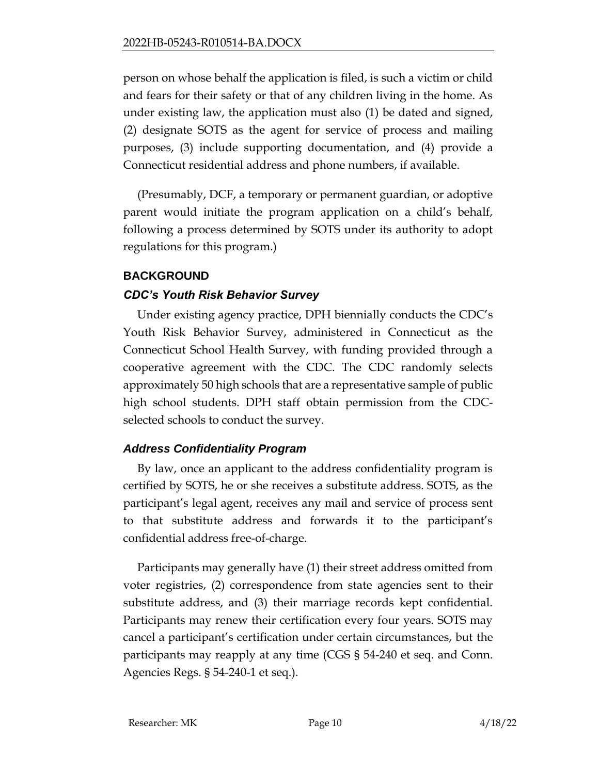person on whose behalf the application is filed, is such a victim or child and fears for their safety or that of any children living in the home. As under existing law, the application must also (1) be dated and signed, (2) designate SOTS as the agent for service of process and mailing purposes, (3) include supporting documentation, and (4) provide a Connecticut residential address and phone numbers, if available.

(Presumably, DCF, a temporary or permanent guardian, or adoptive parent would initiate the program application on a child's behalf, following a process determined by SOTS under its authority to adopt regulations for this program.)

## **BACKGROUND**

## *CDC's Youth Risk Behavior Survey*

Under existing agency practice, DPH biennially conducts the CDC's Youth Risk Behavior Survey, administered in Connecticut as the Connecticut School Health Survey, with funding provided through a cooperative agreement with the CDC. The CDC randomly selects approximately 50 high schools that are a representative sample of public high school students. DPH staff obtain permission from the CDCselected schools to conduct the survey.

## *Address Confidentiality Program*

By law, once an applicant to the address confidentiality program is certified by SOTS, he or she receives a substitute address. SOTS, as the participant's legal agent, receives any mail and service of process sent to that substitute address and forwards it to the participant's confidential address free-of-charge.

Participants may generally have (1) their street address omitted from voter registries, (2) correspondence from state agencies sent to their substitute address, and (3) their marriage records kept confidential. Participants may renew their certification every four years. SOTS may cancel a participant's certification under certain circumstances, but the participants may reapply at any time (CGS § 54-240 et seq. and Conn. Agencies Regs. § 54-240-1 et seq.).